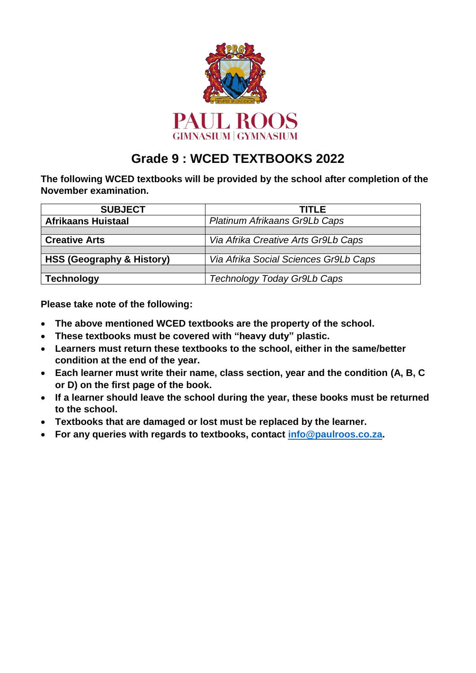

# **Grade 9 : WCED TEXTBOOKS 2022**

**The following WCED textbooks will be provided by the school after completion of the November examination.**

| <b>SUBJECT</b>                       | <b>TITLE</b>                          |
|--------------------------------------|---------------------------------------|
| <b>Afrikaans Huistaal</b>            | Platinum Afrikaans Gr9Lb Caps         |
|                                      |                                       |
| <b>Creative Arts</b>                 | Via Afrika Creative Arts Gr9Lb Caps   |
|                                      |                                       |
| <b>HSS (Geography &amp; History)</b> | Via Afrika Social Sciences Gr9Lb Caps |
|                                      |                                       |
| <b>Technology</b>                    | Technology Today Gr9Lb Caps           |

**Please take note of the following:**

- **The above mentioned WCED textbooks are the property of the school.**
- **These textbooks must be covered with "heavy duty" plastic.**
- **Learners must return these textbooks to the school, either in the same/better condition at the end of the year.**
- **Each learner must write their name, class section, year and the condition (A, B, C or D) on the first page of the book.**
- **If a learner should leave the school during the year, these books must be returned to the school.**
- **Textbooks that are damaged or lost must be replaced by the learner.**
- **For any queries with regards to textbooks, contact [info@paulroos.co.za.](mailto:info@paulroos.co.za)**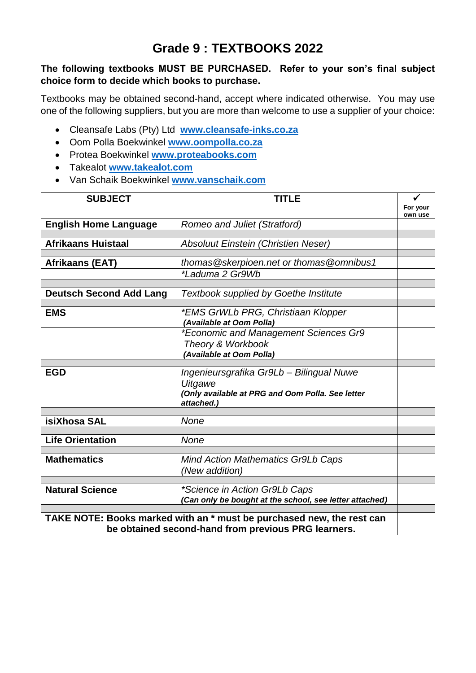## **Grade 9 : TEXTBOOKS 2022**

#### **The following textbooks MUST BE PURCHASED. Refer to your son's final subject choice form to decide which books to purchase.**

Textbooks may be obtained second-hand, accept where indicated otherwise. You may use one of the following suppliers, but you are more than welcome to use a supplier of your choice:

- Cleansafe Labs (Pty) Ltd **[www.cleansafe-inks.co.za](http://www.cleansafe-inks.co.za/)**
- Oom Polla Boekwinkel **[www.oompolla.co.za](http://www.oompolla.co.za/)**
- Protea Boekwinkel **[www.proteabooks.com](http://www.proteabooks.com/)**
- Takealot **[www.takealot.com](http://www.takealot.com/)**
- Van Schaik Boekwinkel **[www.vanschaik.com](http://www.vanschaik.com/)**

| <b>SUBJECT</b>                                                                                                               | <b>TITLE</b>                                                                                                          |                     |
|------------------------------------------------------------------------------------------------------------------------------|-----------------------------------------------------------------------------------------------------------------------|---------------------|
|                                                                                                                              |                                                                                                                       | For your<br>own use |
| <b>English Home Language</b>                                                                                                 | <b>Romeo and Juliet (Stratford)</b>                                                                                   |                     |
|                                                                                                                              |                                                                                                                       |                     |
| <b>Afrikaans Huistaal</b>                                                                                                    | <b>Absoluut Einstein (Christien Neser)</b>                                                                            |                     |
| Afrikaans (EAT)                                                                                                              | thomas @skerpioen.net or thomas @omnibus1                                                                             |                     |
|                                                                                                                              | *Laduma 2 Gr9Wb                                                                                                       |                     |
|                                                                                                                              |                                                                                                                       |                     |
| <b>Deutsch Second Add Lang</b>                                                                                               | <b>Textbook supplied by Goethe Institute</b>                                                                          |                     |
| <b>EMS</b>                                                                                                                   | *EMS GrWLb PRG, Christiaan Klopper<br>(Available at Oom Polla)                                                        |                     |
|                                                                                                                              | *Economic and Management Sciences Gr9<br>Theory & Workbook<br>(Available at Oom Polla)                                |                     |
|                                                                                                                              |                                                                                                                       |                     |
| <b>EGD</b>                                                                                                                   | Ingenieursgrafika Gr9Lb - Bilingual Nuwe<br>Uitgawe<br>(Only available at PRG and Oom Polla. See letter<br>attached.) |                     |
| isiXhosa SAL                                                                                                                 | <b>None</b>                                                                                                           |                     |
|                                                                                                                              |                                                                                                                       |                     |
| <b>Life Orientation</b>                                                                                                      | <b>None</b>                                                                                                           |                     |
| <b>Mathematics</b>                                                                                                           | <b>Mind Action Mathematics Gr9Lb Caps</b><br>(New addition)                                                           |                     |
| <b>Natural Science</b>                                                                                                       | *Science in Action Gr9Lb Caps<br>(Can only be bought at the school, see letter attached)                              |                     |
|                                                                                                                              |                                                                                                                       |                     |
| TAKE NOTE: Books marked with an * must be purchased new, the rest can<br>be obtained second-hand from previous PRG learners. |                                                                                                                       |                     |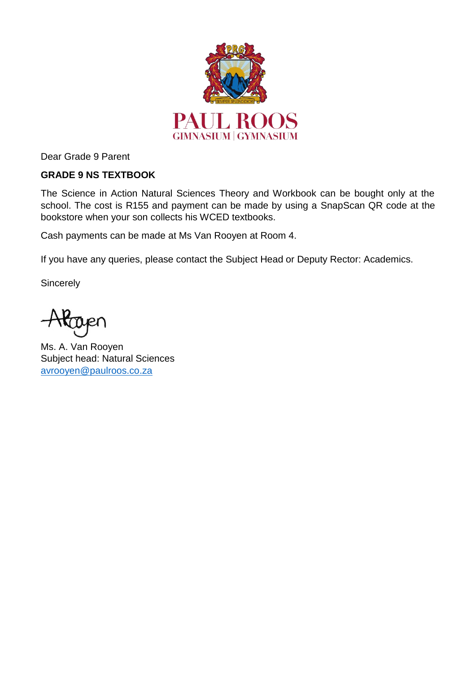

Dear Grade 9 Parent

### **GRADE 9 NS TEXTBOOK**

The Science in Action Natural Sciences Theory and Workbook can be bought only at the school. The cost is R155 and payment can be made by using a SnapScan QR code at the bookstore when your son collects his WCED textbooks.

Cash payments can be made at Ms Van Rooyen at Room 4.

If you have any queries, please contact the Subject Head or Deputy Rector: Academics.

**Sincerely** 

Ms. A. Van Rooyen Subject head: Natural Sciences [avrooyen@paulroos.co.za](mailto:avrooyen@paulroos.co.za)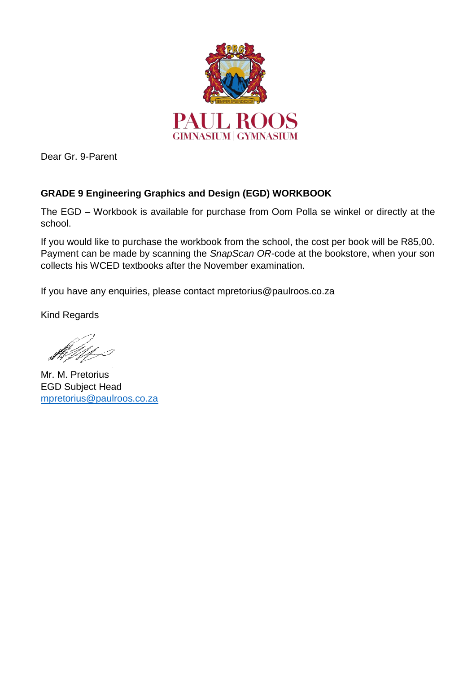

Dear Gr. 9-Parent

### **GRADE 9 Engineering Graphics and Design (EGD) WORKBOOK**

The EGD – Workbook is available for purchase from Oom Polla se winkel or directly at the school.

If you would like to purchase the workbook from the school, the cost per book will be R85,00. Payment can be made by scanning the *SnapScan OR-*code at the bookstore, when your son collects his WCED textbooks after the November examination.

If you have any enquiries, please contact mpretorius@paulroos.co.za

Kind Regards

Mr. M. Pretorius EGD Subject Head [mpretorius@paulroos.co.za](mailto:mpretorius@paulroos.co.za)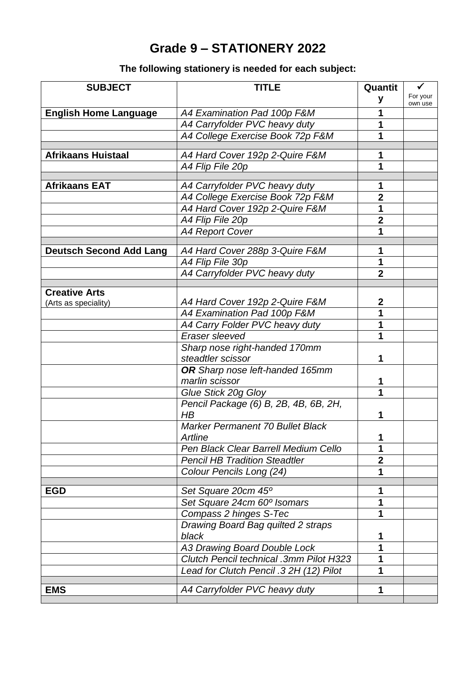# **Grade 9 – STATIONERY 2022**

## **The following stationery is needed for each subject:**

| <b>SUBJECT</b>                               | <b>TITLE</b>                            | Quantit                 | $\checkmark$        |
|----------------------------------------------|-----------------------------------------|-------------------------|---------------------|
|                                              |                                         | y                       | For your<br>own use |
| <b>English Home Language</b>                 | A4 Examination Pad 100p F&M             |                         |                     |
|                                              | A4 Carryfolder PVC heavy duty           | 1                       |                     |
|                                              | A4 College Exercise Book 72p F&M        | 1                       |                     |
|                                              |                                         |                         |                     |
| <b>Afrikaans Huistaal</b>                    | A4 Hard Cover 192p 2-Quire F&M          | 1                       |                     |
|                                              | A4 Flip File 20p                        | 1                       |                     |
| <b>Afrikaans EAT</b>                         | A4 Carryfolder PVC heavy duty           | 1                       |                     |
|                                              | A4 College Exercise Book 72p F&M        | $\mathbf 2$             |                     |
|                                              | A4 Hard Cover 192p 2-Quire F&M          | 1                       |                     |
|                                              | A4 Flip File 20p                        | $\overline{\mathbf{2}}$ |                     |
|                                              | <b>A4 Report Cover</b>                  | 1                       |                     |
|                                              |                                         |                         |                     |
| <b>Deutsch Second Add Lang</b>               | A4 Hard Cover 288p 3-Quire F&M          | 1                       |                     |
|                                              | A4 Flip File 30p                        | 1                       |                     |
|                                              | A4 Carryfolder PVC heavy duty           | $\overline{2}$          |                     |
|                                              |                                         |                         |                     |
| <b>Creative Arts</b><br>(Arts as speciality) | A4 Hard Cover 192p 2-Quire F&M          | $\boldsymbol{2}$        |                     |
|                                              | A4 Examination Pad 100p F&M             | 1                       |                     |
|                                              | A4 Carry Folder PVC heavy duty          | 1                       |                     |
|                                              | Eraser sleeved                          | 1                       |                     |
|                                              | Sharp nose right-handed 170mm           |                         |                     |
|                                              | steadtler scissor                       | 1                       |                     |
|                                              | OR Sharp nose left-handed 165mm         |                         |                     |
|                                              | marlin scissor                          | 1                       |                     |
|                                              | Glue Stick 20g Gloy                     | 1                       |                     |
|                                              | Pencil Package (6) B, 2B, 4B, 6B, 2H,   |                         |                     |
|                                              | H B                                     | 1                       |                     |
|                                              | <b>Marker Permanent 70 Bullet Black</b> |                         |                     |
|                                              | Artline                                 | 1                       |                     |
|                                              | Pen Black Clear Barrell Medium Cello    | 1                       |                     |
|                                              | <b>Pencil HB Tradition Steadtler</b>    | $\mathbf 2$             |                     |
|                                              | Colour Pencils Long (24)                | 1                       |                     |
| <b>EGD</b>                                   | Set Square 20cm 45°                     | 1                       |                     |
|                                              | Set Square 24cm 60° Isomars             | 1                       |                     |
|                                              | Compass 2 hinges S-Tec                  | 1                       |                     |
|                                              | Drawing Board Bag quilted 2 straps      |                         |                     |
|                                              | black                                   | 1                       |                     |
|                                              | <b>A3 Drawing Board Double Lock</b>     | 1                       |                     |
|                                              | Clutch Pencil technical .3mm Pilot H323 |                         |                     |
|                                              | Lead for Clutch Pencil .3 2H (12) Pilot | 1                       |                     |
|                                              |                                         |                         |                     |
| <b>EMS</b>                                   | A4 Carryfolder PVC heavy duty           | 1                       |                     |
|                                              |                                         |                         |                     |